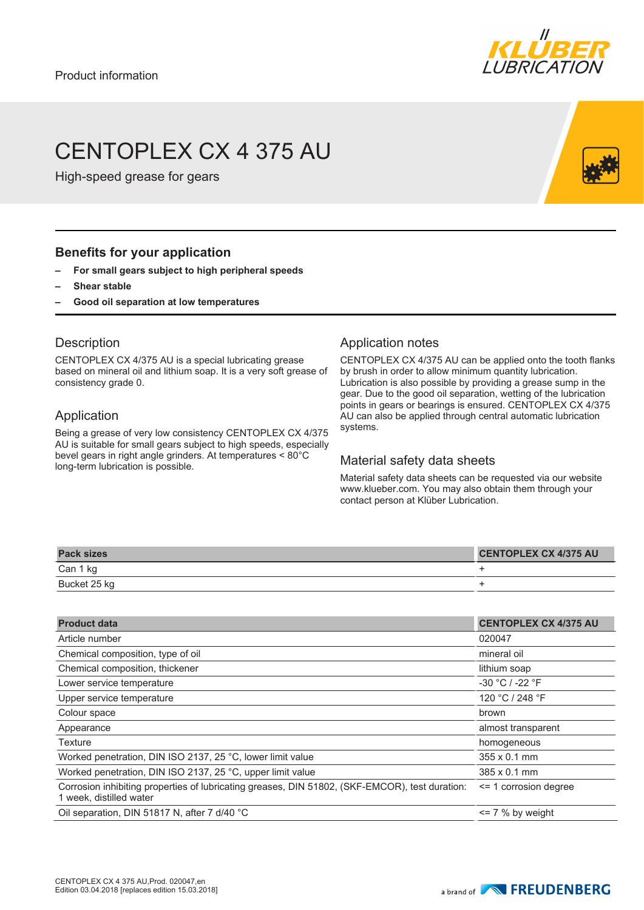

# CENTOPLEX CX 4 375 AU

High-speed grease for gears

## **Benefits for your application**

- **– For small gears subject to high peripheral speeds**
- **– Shear stable**
- **– Good oil separation at low temperatures**

#### **Description**

CENTOPLEX CX 4/375 AU is a special lubricating grease based on mineral oil and lithium soap. It is a very soft grease of consistency grade 0.

#### Application

Being a grease of very low consistency CENTOPLEX CX 4/375 AU is suitable for small gears subject to high speeds, especially bevel gears in right angle grinders. At temperatures < 80°C long-term lubrication is possible.

## Application notes

CENTOPLEX CX 4/375 AU can be applied onto the tooth flanks by brush in order to allow minimum quantity lubrication. Lubrication is also possible by providing a grease sump in the gear. Due to the good oil separation, wetting of the lubrication points in gears or bearings is ensured. CENTOPLEX CX 4/375 AU can also be applied through central automatic lubrication systems.

## Material safety data sheets

Material safety data sheets can be requested via our website www.klueber.com. You may also obtain them through your contact person at Klüber Lubrication.

| <b>Pack sizes</b> | CENTOPLEX CX 4/375 AU |
|-------------------|-----------------------|
| Can 1 kg          |                       |
| Bucket 25 kg      |                       |

| <b>Product data</b>                                                                                                       | <b>CENTOPLEX CX 4/375 AU</b> |
|---------------------------------------------------------------------------------------------------------------------------|------------------------------|
| Article number                                                                                                            | 020047                       |
| Chemical composition, type of oil                                                                                         | mineral oil                  |
| Chemical composition, thickener                                                                                           | lithium soap                 |
| Lower service temperature                                                                                                 | $-30 °C$ / $-22 °F$          |
| Upper service temperature                                                                                                 | 120 °C / 248 °F              |
| Colour space                                                                                                              | brown                        |
| Appearance                                                                                                                | almost transparent           |
| Texture                                                                                                                   | homogeneous                  |
| Worked penetration, DIN ISO 2137, 25 °C, lower limit value                                                                | $355 \times 0.1$ mm          |
| Worked penetration, DIN ISO 2137, 25 °C, upper limit value                                                                | $385 \times 0.1$ mm          |
| Corrosion inhibiting properties of lubricating greases, DIN 51802, (SKF-EMCOR), test duration:<br>1 week, distilled water | $\leq$ 1 corrosion degree    |
| Oil separation, DIN 51817 N, after 7 d/40 °C                                                                              | $\leq$ 7 % by weight         |